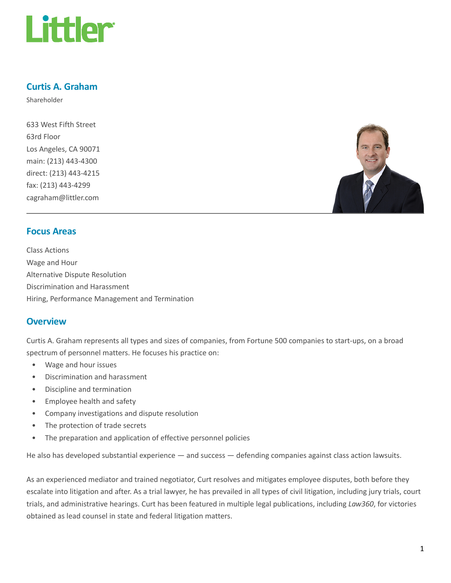

# Curtis A. Graham

Shareholder

633 West Fifth Street 63rd Floor Los Angeles, CA 90071 main: (213) 443-4300 direct: (213) 443-4215 fax: (213) 443-4299 cagraham@littler.com



## Focus Areas

Class Actions Wage and Hour Alternative Dispute Resolution Discrimination and Harassment Hiring, Performance Management and Termination

## **Overview**

Curtis A. Graham represents all types and sizes of companies, from Fortune 500 companies to start-ups, on a broad spectrum of personnel matters. He focuses his practice on:

- Wage and hour issues
- Discrimination and harassment
- Discipline and termination
- Employee health and safety
- Company investigations and dispute resolution
- The protection of trade secrets
- The preparation and application of effective personnel policies

He also has developed substantial experience — and success — defending companies against class action lawsuits.

As an experienced mediator and trained negotiator, Curt resolves and mitigates employee disputes, both before they escalate into litigation and after. As a trial lawyer, he has prevailed in all types of civil litigation, including jury trials, court trials, and administrative hearings. Curt has been featured in multiple legal publications, including Law360, for victories obtained as lead counsel in state and federal litigation matters.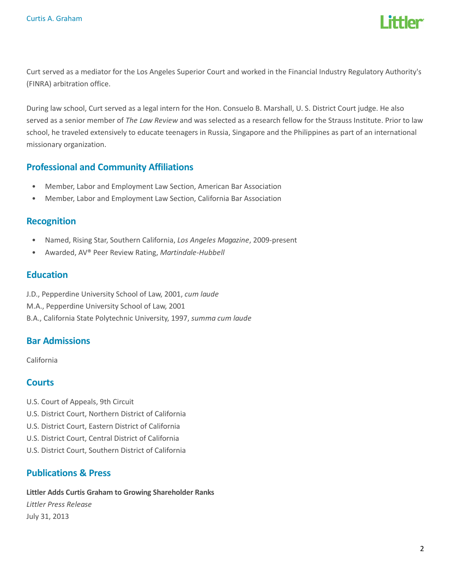

Curt served as a mediator for the Los Angeles Superior Court and worked in the Financial Industry Regulatory Authority's (FINRA) arbitration office.

During law school, Curt served as a legal intern for the Hon. Consuelo B. Marshall, U. S. District Court judge. He also served as a senior member of The Law Review and was selected as a research fellow for the Strauss Institute. Prior to law school, he traveled extensively to educate teenagers in Russia, Singapore and the Philippines as part of an international missionary organization.

## Professional and Community Affiliations

- Member, Labor and Employment Law Section, American Bar Association
- Member, Labor and Employment Law Section, California Bar Association

#### Recognition

- Named, Rising Star, Southern California, Los Angeles Magazine, 2009-present
- Awarded, AV® Peer Review Rating, Martindale-Hubbell

#### **Education**

J.D., Pepperdine University School of Law, 2001, cum laude M.A., Pepperdine University School of Law, 2001 B.A., California State Polytechnic University, 1997, summa cum laude

## Bar Admissions

California

# **Courts**

- U.S. Court of Appeals, 9th Circuit
- U.S. District Court, Northern District of California
- U.S. District Court, Eastern District of California
- U.S. District Court, Central District of California
- U.S. District Court, Southern District of California

## Publications & Press

Littler Adds Curtis Graham to Growing Shareholder Ranks Littler Press Release July 31, 2013